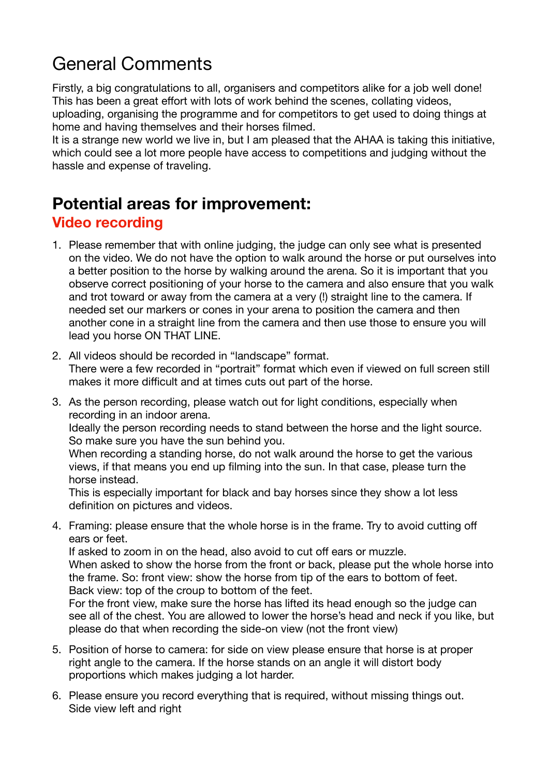## General Comments

Firstly, a big congratulations to all, organisers and competitors alike for a job well done! This has been a great effort with lots of work behind the scenes, collating videos, uploading, organising the programme and for competitors to get used to doing things at home and having themselves and their horses filmed.

It is a strange new world we live in, but I am pleased that the AHAA is taking this initiative, which could see a lot more people have access to competitions and judging without the hassle and expense of traveling.

## **Potential areas for improvement:**

## **Video recording**

- 1. Please remember that with online judging, the judge can only see what is presented on the video. We do not have the option to walk around the horse or put ourselves into a better position to the horse by walking around the arena. So it is important that you observe correct positioning of your horse to the camera and also ensure that you walk and trot toward or away from the camera at a very (!) straight line to the camera. If needed set our markers or cones in your arena to position the camera and then another cone in a straight line from the camera and then use those to ensure you will lead you horse ON THAT LINE.
- 2. All videos should be recorded in "landscape" format. There were a few recorded in "portrait" format which even if viewed on full screen still makes it more difficult and at times cuts out part of the horse.
- 3. As the person recording, please watch out for light conditions, especially when recording in an indoor arena.

Ideally the person recording needs to stand between the horse and the light source. So make sure you have the sun behind you.

When recording a standing horse, do not walk around the horse to get the various views, if that means you end up filming into the sun. In that case, please turn the horse instead.

This is especially important for black and bay horses since they show a lot less definition on pictures and videos.

4. Framing: please ensure that the whole horse is in the frame. Try to avoid cutting off ears or feet.

If asked to zoom in on the head, also avoid to cut off ears or muzzle. When asked to show the horse from the front or back, please put the whole horse into the frame. So: front view: show the horse from tip of the ears to bottom of feet. Back view: top of the croup to bottom of the feet.

For the front view, make sure the horse has lifted its head enough so the judge can see all of the chest. You are allowed to lower the horse's head and neck if you like, but please do that when recording the side-on view (not the front view)

- 5. Position of horse to camera: for side on view please ensure that horse is at proper right angle to the camera. If the horse stands on an angle it will distort body proportions which makes judging a lot harder.
- 6. Please ensure you record everything that is required, without missing things out. Side view left and right